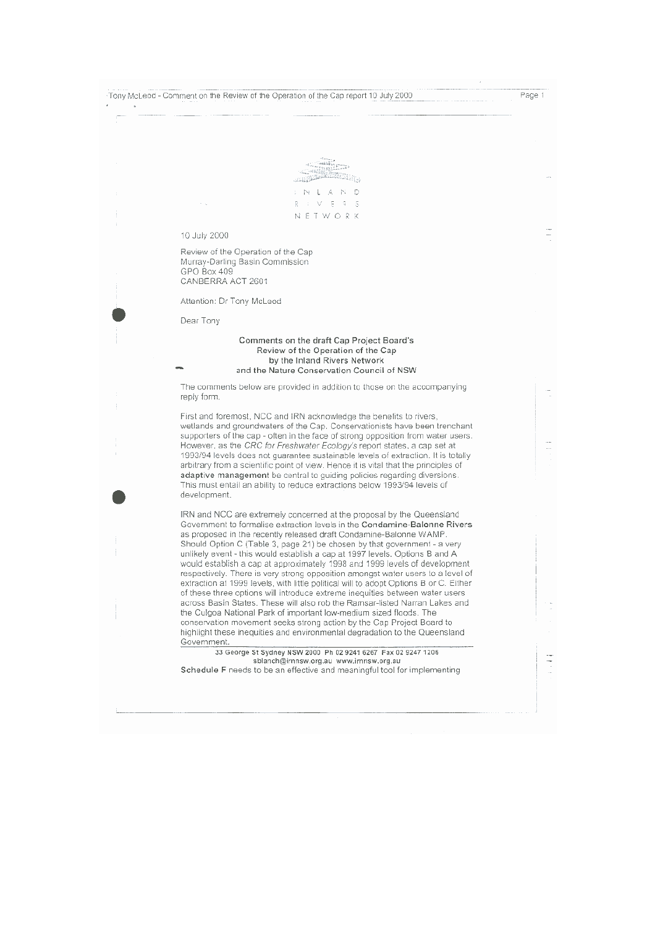| Tony McLeod - Comment on the Review of the Operation of the Cap report 10 July 2000                                                                                                                                                                                                                                                                                                                                                                                                                                                                                                                                                                                                                                                                                                                                                                                                                                                                                                                                                                      | Page 1 |
|----------------------------------------------------------------------------------------------------------------------------------------------------------------------------------------------------------------------------------------------------------------------------------------------------------------------------------------------------------------------------------------------------------------------------------------------------------------------------------------------------------------------------------------------------------------------------------------------------------------------------------------------------------------------------------------------------------------------------------------------------------------------------------------------------------------------------------------------------------------------------------------------------------------------------------------------------------------------------------------------------------------------------------------------------------|--------|
|                                                                                                                                                                                                                                                                                                                                                                                                                                                                                                                                                                                                                                                                                                                                                                                                                                                                                                                                                                                                                                                          |        |
|                                                                                                                                                                                                                                                                                                                                                                                                                                                                                                                                                                                                                                                                                                                                                                                                                                                                                                                                                                                                                                                          |        |
|                                                                                                                                                                                                                                                                                                                                                                                                                                                                                                                                                                                                                                                                                                                                                                                                                                                                                                                                                                                                                                                          |        |
| Ð                                                                                                                                                                                                                                                                                                                                                                                                                                                                                                                                                                                                                                                                                                                                                                                                                                                                                                                                                                                                                                                        |        |
| -5<br>F                                                                                                                                                                                                                                                                                                                                                                                                                                                                                                                                                                                                                                                                                                                                                                                                                                                                                                                                                                                                                                                  |        |
| NETWORK                                                                                                                                                                                                                                                                                                                                                                                                                                                                                                                                                                                                                                                                                                                                                                                                                                                                                                                                                                                                                                                  |        |
| 10 July 2000                                                                                                                                                                                                                                                                                                                                                                                                                                                                                                                                                                                                                                                                                                                                                                                                                                                                                                                                                                                                                                             |        |
| Review of the Operation of the Cap                                                                                                                                                                                                                                                                                                                                                                                                                                                                                                                                                                                                                                                                                                                                                                                                                                                                                                                                                                                                                       |        |
| Murray-Darling Basin Commission                                                                                                                                                                                                                                                                                                                                                                                                                                                                                                                                                                                                                                                                                                                                                                                                                                                                                                                                                                                                                          |        |
| GPO Box 409<br>CANBERRA ACT 2601                                                                                                                                                                                                                                                                                                                                                                                                                                                                                                                                                                                                                                                                                                                                                                                                                                                                                                                                                                                                                         |        |
| Attention: Dr Tony McLeod                                                                                                                                                                                                                                                                                                                                                                                                                                                                                                                                                                                                                                                                                                                                                                                                                                                                                                                                                                                                                                |        |
|                                                                                                                                                                                                                                                                                                                                                                                                                                                                                                                                                                                                                                                                                                                                                                                                                                                                                                                                                                                                                                                          |        |
| Dear Tony                                                                                                                                                                                                                                                                                                                                                                                                                                                                                                                                                                                                                                                                                                                                                                                                                                                                                                                                                                                                                                                |        |
| Comments on the draft Cap Project Board's                                                                                                                                                                                                                                                                                                                                                                                                                                                                                                                                                                                                                                                                                                                                                                                                                                                                                                                                                                                                                |        |
| Review of the Operation of the Cap<br>by the Inland Rivers Network                                                                                                                                                                                                                                                                                                                                                                                                                                                                                                                                                                                                                                                                                                                                                                                                                                                                                                                                                                                       |        |
| and the Nature Conservation Council of NSW                                                                                                                                                                                                                                                                                                                                                                                                                                                                                                                                                                                                                                                                                                                                                                                                                                                                                                                                                                                                               |        |
| The comments below are provided in addition to those on the accompanying<br>reply form.                                                                                                                                                                                                                                                                                                                                                                                                                                                                                                                                                                                                                                                                                                                                                                                                                                                                                                                                                                  |        |
| First and foremost, NCC and IRN acknowledge the benefits to rivers,<br>wetlands and groundwaters of the Cap. Conservationists have been trenchant<br>supporters of the cap - often in the face of strong opposition from water users.<br>However, as the CRC for Freshwater Ecology's report states, a cap set at<br>1993/94 levels does not guarantee sustainable levels of extraction. It is totally<br>arbitrary from a scientific point of view. Hence it is vital that the principles of<br>adaptive management be central to guiding policies regarding diversions.<br>This must entail an ability to reduce extractions below 1993/94 levels of<br>development.                                                                                                                                                                                                                                                                                                                                                                                   |        |
| IRN and NCC are extremely concerned at the proposal by the Queensland<br>Government to formalise extraction levels in the Condamine-Balonne Rivers<br>as proposed in the recently released draft Condamine-Balonne WAMP.<br>Should Option C (Table 3, page 21) be chosen by that government - a very<br>unlikely event - this would establish a cap at 1997 levels. Options B and A<br>would establish a cap at approximately 1998 and 1999 levels of development<br>respectively. There is very strong opposition amongst water users to a level of<br>extraction at 1999 levels, with little political will to adopt Options B or C. Either<br>of these three options will introduce extreme inequities between water users<br>across Basin States. These will also rob the Ramsar-listed Narran Lakes and<br>the Culgoa National Park of important low-medium sized floods. The<br>conservation movement seeks strong action by the Cap Project Board to<br>highlight these inequities and environmental degradation to the Queensland<br>Government. |        |
| 33 George St Sydney NSW 2000 Ph 02 9241 6267 Fax 02 9247 1206<br>sblanch@irnnsw.org.au www.irnnsw.org.au<br>Schedule F needs to be an effective and meaningful tool for implementing                                                                                                                                                                                                                                                                                                                                                                                                                                                                                                                                                                                                                                                                                                                                                                                                                                                                     |        |
|                                                                                                                                                                                                                                                                                                                                                                                                                                                                                                                                                                                                                                                                                                                                                                                                                                                                                                                                                                                                                                                          |        |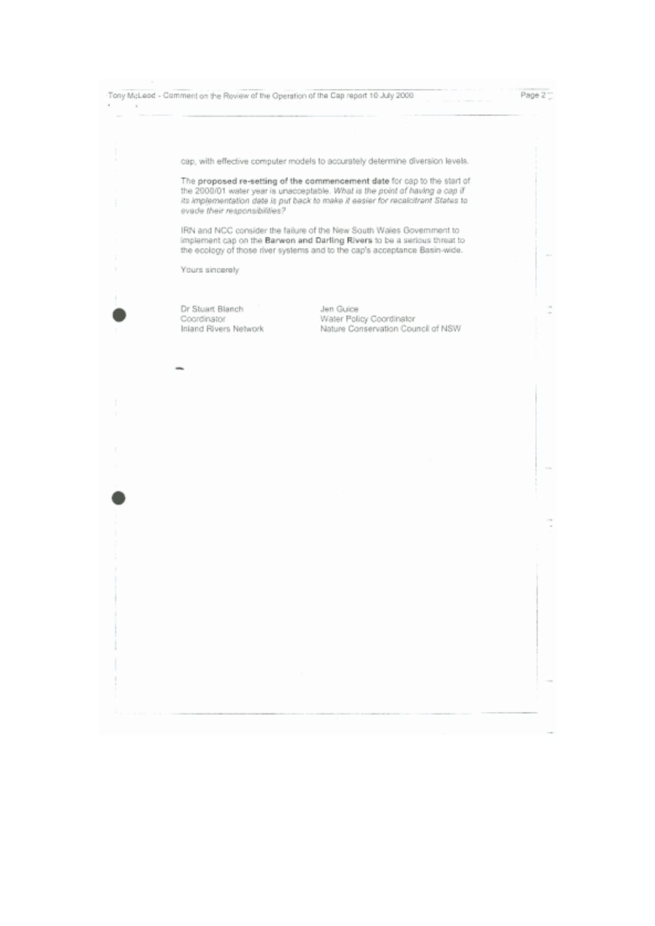Tony McLeod - Comment on the Review of the Operation of the Cap report 10 July 2000 ×  $\lambda$ 

Page 2"

 $\sim$ 

cap, with effective computer models to accurately determine diversion levels.

The proposed re-setting of the commencement date for cap to the start of the 2000/01 water year is unacceptable. What is the point of having a cap if its implementation date is put back to make it easier for recalcitrant States to evade their responsibilities?

IRN and NCC consider the failure of the New South Wales Government to implement cap on the Barwon and Darling Rivers to be a serious threat to the ecology of those river systems and to the cap's acceptance Basin-wide.

Yours sincerely

Dr Stuart Blanch Coordinator Inland Rivers Network

Jen Guice Water Policy Coordinator Nature Conservation Council of NSW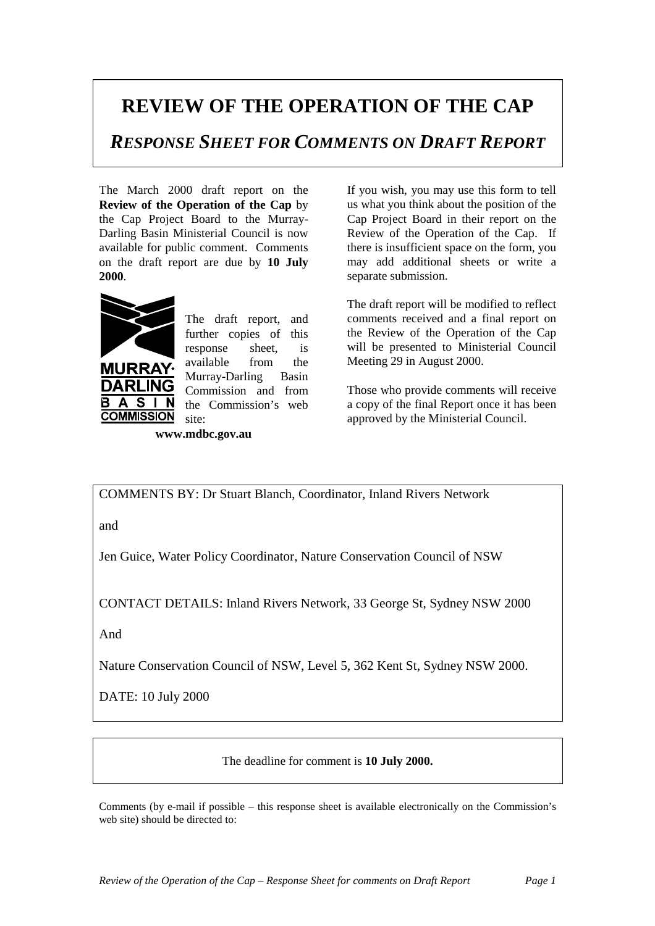## **REVIEW OF THE OPERATION OF THE CAP**

*RESPONSE SHEET FOR COMMENTS ON DRAFT REPORT*

The March 2000 draft report on the **Review of the Operation of the Cap** by the Cap Project Board to the Murray-Darling Basin Ministerial Council is now available for public comment. Comments on the draft report are due by **10 July 2000**.



URRA

**COMMISSION** 

 $\blacktriangle$ S

В

The draft report, and further copies of this response sheet, is available from the Murray-Darling Basin Commission and from the Commission's web site:

**www.mdbc.gov.au**

If you wish, you may use this form to tell us what you think about the position of the Cap Project Board in their report on the Review of the Operation of the Cap. If there is insufficient space on the form, you may add additional sheets or write a separate submission.

The draft report will be modified to reflect comments received and a final report on the Review of the Operation of the Cap will be presented to Ministerial Council Meeting 29 in August 2000.

Those who provide comments will receive a copy of the final Report once it has been approved by the Ministerial Council.

COMMENTS BY: Dr Stuart Blanch, Coordinator, Inland Rivers Network

and

Jen Guice, Water Policy Coordinator, Nature Conservation Council of NSW

CONTACT DETAILS: Inland Rivers Network, 33 George St, Sydney NSW 2000

And

Nature Conservation Council of NSW, Level 5, 362 Kent St, Sydney NSW 2000.

DATE: 10 July 2000

The deadline for comment is **10 July 2000.**

Comments (by e-mail if possible – this response sheet is available electronically on the Commission's web site) should be directed to: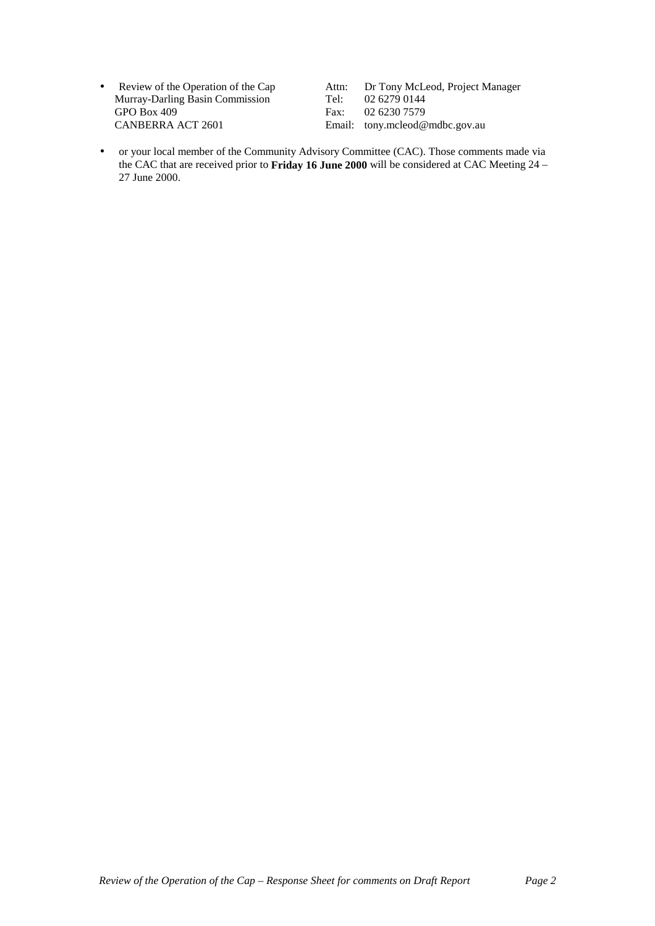• Review of the Operation of the Cap Attn: Dr Tony McLeod, Project Manager Murray-Darling Basin Commission Tel: 02 6279 0144 GPO Box 409<br>
CANBERRA ACT 2601<br>
Email: tony.mcleod@

Email: tony.mcleod@mdbc.gov.au

• or your local member of the Community Advisory Committee (CAC). Those comments made via the CAC that are received prior to **Friday 16 June 2000** will be considered at CAC Meeting 24 – 27 June 2000.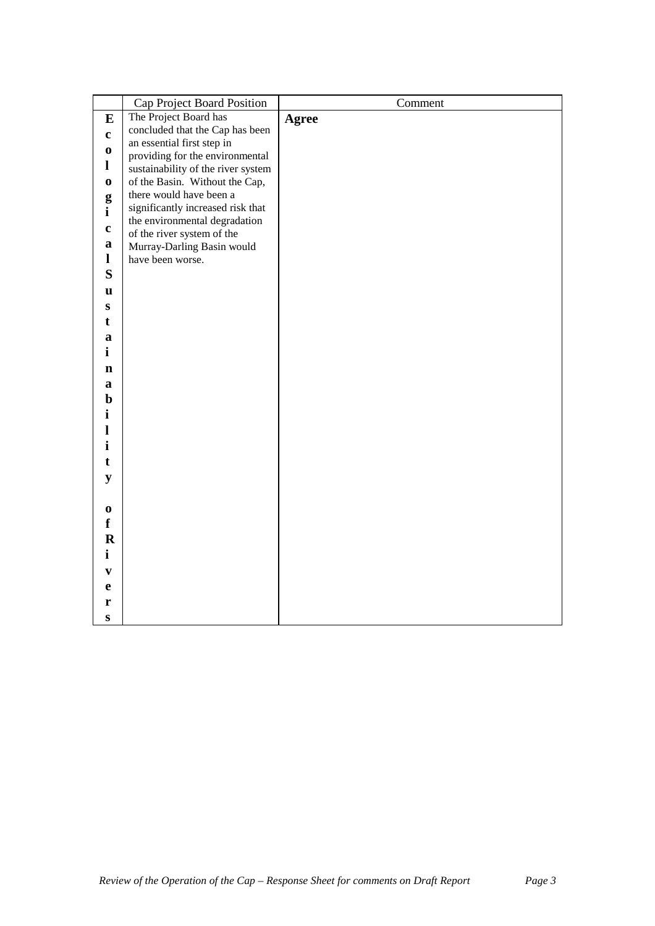|              | Cap Project Board Position                                | Comment      |
|--------------|-----------------------------------------------------------|--------------|
| $\bf{E}$     | The Project Board has                                     | <b>Agree</b> |
| $\mathbf c$  | concluded that the Cap has been                           |              |
| $\bf{0}$     | an essential first step in                                |              |
| $\mathbf{l}$ | providing for the environmental                           |              |
|              | sustainability of the river system                        |              |
| $\mathbf 0$  | of the Basin. Without the Cap,<br>there would have been a |              |
| g            | significantly increased risk that                         |              |
| $\mathbf{i}$ | the environmental degradation                             |              |
| $\mathbf c$  | of the river system of the                                |              |
| a            | Murray-Darling Basin would                                |              |
| 1            | have been worse.                                          |              |
| S            |                                                           |              |
| u            |                                                           |              |
| ${\bf S}$    |                                                           |              |
| t            |                                                           |              |
| a            |                                                           |              |
| $\mathbf{i}$ |                                                           |              |
| $\mathbf n$  |                                                           |              |
| a            |                                                           |              |
| $\mathbf b$  |                                                           |              |
| i            |                                                           |              |
| 1            |                                                           |              |
| i            |                                                           |              |
| t            |                                                           |              |
| ${\bf y}$    |                                                           |              |
|              |                                                           |              |
| $\bf{0}$     |                                                           |              |
| f            |                                                           |              |
| $\mathbf R$  |                                                           |              |
| $\mathbf{i}$ |                                                           |              |
| V            |                                                           |              |
| e            |                                                           |              |
| r            |                                                           |              |
| ${\bf S}$    |                                                           |              |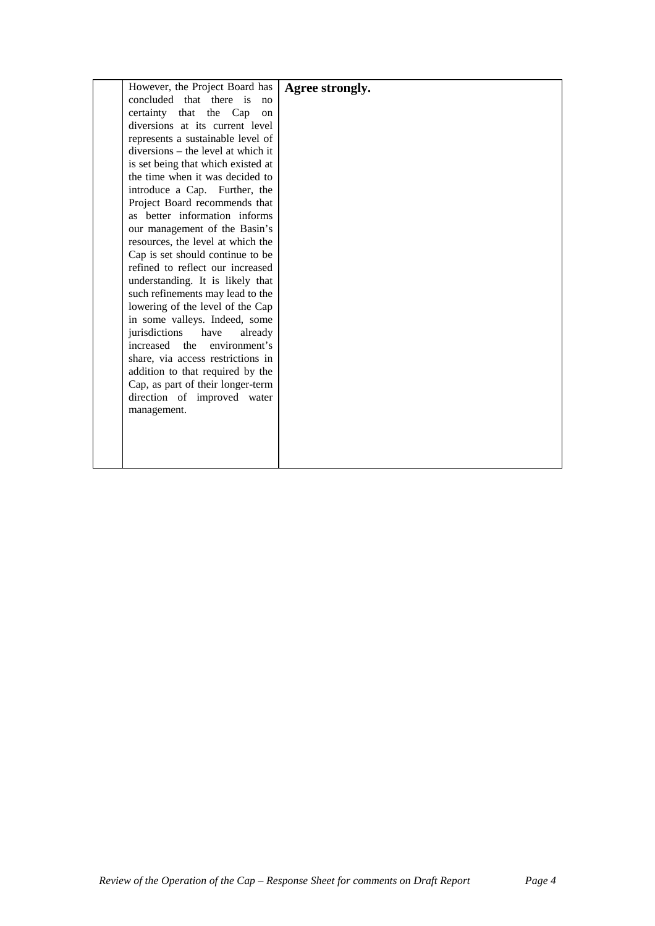| However, the Project Board has     | Agree strongly. |
|------------------------------------|-----------------|
| concluded that there is<br>no      |                 |
| certainty that the Cap<br>on       |                 |
| diversions at its current level    |                 |
| represents a sustainable level of  |                 |
| diversions – the level at which it |                 |
| is set being that which existed at |                 |
| the time when it was decided to    |                 |
| introduce a Cap. Further, the      |                 |
| Project Board recommends that      |                 |
| as better information informs      |                 |
| our management of the Basin's      |                 |
| resources, the level at which the  |                 |
| Cap is set should continue to be   |                 |
| refined to reflect our increased   |                 |
| understanding. It is likely that   |                 |
| such refinements may lead to the   |                 |
| lowering of the level of the Cap   |                 |
| in some valleys. Indeed, some      |                 |
| jurisdictions<br>have<br>already   |                 |
| increased the environment's        |                 |
| share, via access restrictions in  |                 |
| addition to that required by the   |                 |
| Cap, as part of their longer-term  |                 |
| direction of improved water        |                 |
| management.                        |                 |
|                                    |                 |
|                                    |                 |
|                                    |                 |
|                                    |                 |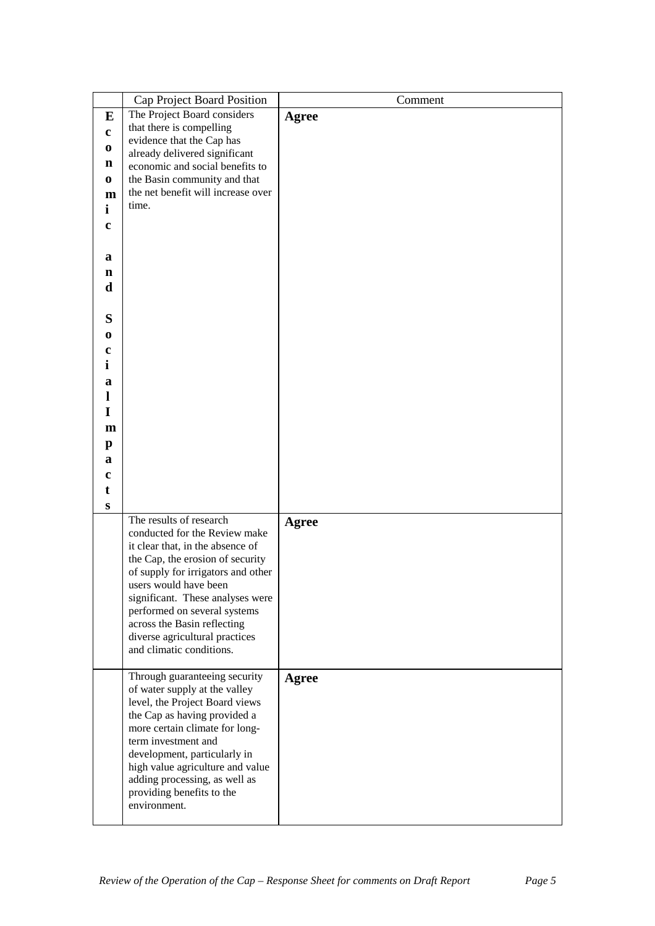|              | Cap Project Board Position         | Comment |
|--------------|------------------------------------|---------|
| E            | The Project Board considers        | Agree   |
|              | that there is compelling           |         |
| $\mathbf c$  | evidence that the Cap has          |         |
| $\bf{0}$     | already delivered significant      |         |
| n            | economic and social benefits to    |         |
| $\bf{0}$     | the Basin community and that       |         |
| m            | the net benefit will increase over |         |
| $\mathbf{i}$ | time.                              |         |
|              |                                    |         |
| $\mathbf c$  |                                    |         |
|              |                                    |         |
| a            |                                    |         |
| n            |                                    |         |
| d            |                                    |         |
|              |                                    |         |
|              |                                    |         |
| S            |                                    |         |
| $\bf{0}$     |                                    |         |
| c            |                                    |         |
| i            |                                    |         |
|              |                                    |         |
| a            |                                    |         |
| 1            |                                    |         |
| I            |                                    |         |
| $\mathbf{m}$ |                                    |         |
| $\mathbf{p}$ |                                    |         |
|              |                                    |         |
| a            |                                    |         |
| $\mathbf c$  |                                    |         |
| t            |                                    |         |
| S            |                                    |         |
|              | The results of research            | Agree   |
|              | conducted for the Review make      |         |
|              | it clear that, in the absence of   |         |
|              | the Cap, the erosion of security   |         |
|              | of supply for irrigators and other |         |
|              | users would have been              |         |
|              | significant. These analyses were   |         |
|              | performed on several systems       |         |
|              | across the Basin reflecting        |         |
|              | diverse agricultural practices     |         |
|              | and climatic conditions.           |         |
|              |                                    |         |
|              | Through guaranteeing security      | Agree   |
|              | of water supply at the valley      |         |
|              | level, the Project Board views     |         |
|              | the Cap as having provided a       |         |
|              | more certain climate for long-     |         |
|              | term investment and                |         |
|              | development, particularly in       |         |
|              | high value agriculture and value   |         |
|              | adding processing, as well as      |         |
|              | providing benefits to the          |         |
|              | environment.                       |         |
|              |                                    |         |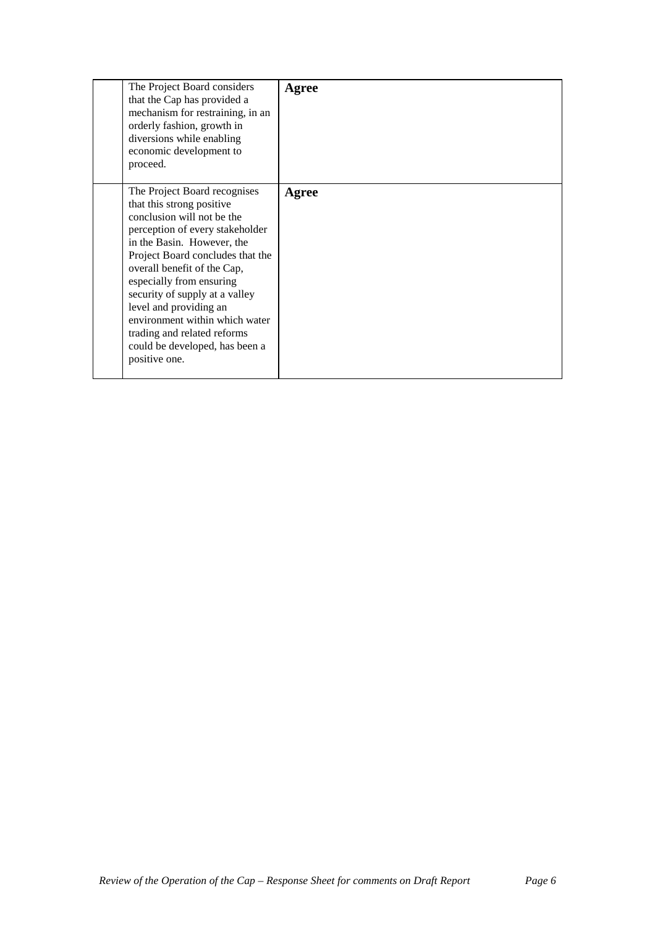| The Project Board considers<br>that the Cap has provided a<br>mechanism for restraining, in an<br>orderly fashion, growth in<br>diversions while enabling<br>economic development to<br>proceed.                                                                                                                                                                                                                                        | Agree |
|-----------------------------------------------------------------------------------------------------------------------------------------------------------------------------------------------------------------------------------------------------------------------------------------------------------------------------------------------------------------------------------------------------------------------------------------|-------|
| The Project Board recognises<br>that this strong positive<br>conclusion will not be the<br>perception of every stakeholder<br>in the Basin. However, the<br>Project Board concludes that the<br>overall benefit of the Cap,<br>especially from ensuring<br>security of supply at a valley<br>level and providing an<br>environment within which water<br>trading and related reforms<br>could be developed, has been a<br>positive one. | Agree |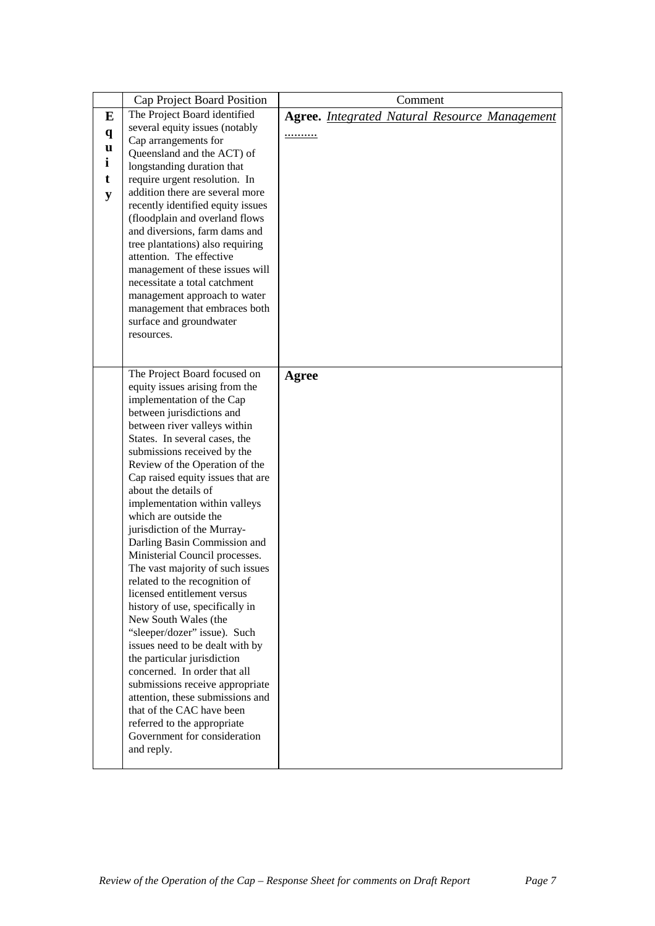| E<br>$\mathbf{q}$<br>u<br>i<br>t<br>y | <b>Cap Project Board Position</b><br>The Project Board identified<br>several equity issues (notably<br>Cap arrangements for<br>Queensland and the ACT) of<br>longstanding duration that<br>require urgent resolution. In<br>addition there are several more<br>recently identified equity issues<br>(floodplain and overland flows<br>and diversions, farm dams and<br>tree plantations) also requiring<br>attention. The effective<br>management of these issues will<br>necessitate a total catchment                                                                                                                                                                                                                                                                                                                                                                                                                                                              | Comment<br><b>Agree.</b> Integrated Natural Resource Management<br>. |
|---------------------------------------|----------------------------------------------------------------------------------------------------------------------------------------------------------------------------------------------------------------------------------------------------------------------------------------------------------------------------------------------------------------------------------------------------------------------------------------------------------------------------------------------------------------------------------------------------------------------------------------------------------------------------------------------------------------------------------------------------------------------------------------------------------------------------------------------------------------------------------------------------------------------------------------------------------------------------------------------------------------------|----------------------------------------------------------------------|
|                                       | management approach to water<br>management that embraces both<br>surface and groundwater<br>resources.                                                                                                                                                                                                                                                                                                                                                                                                                                                                                                                                                                                                                                                                                                                                                                                                                                                               |                                                                      |
|                                       | The Project Board focused on<br>equity issues arising from the<br>implementation of the Cap<br>between jurisdictions and<br>between river valleys within<br>States. In several cases, the<br>submissions received by the<br>Review of the Operation of the<br>Cap raised equity issues that are<br>about the details of<br>implementation within valleys<br>which are outside the<br>jurisdiction of the Murray-<br>Darling Basin Commission and<br>Ministerial Council processes.<br>The vast majority of such issues<br>related to the recognition of<br>licensed entitlement versus<br>history of use, specifically in<br>New South Wales (the<br>"sleeper/dozer" issue). Such<br>issues need to be dealt with by<br>the particular jurisdiction<br>concerned. In order that all<br>submissions receive appropriate<br>attention, these submissions and<br>that of the CAC have been<br>referred to the appropriate<br>Government for consideration<br>and reply. | Agree                                                                |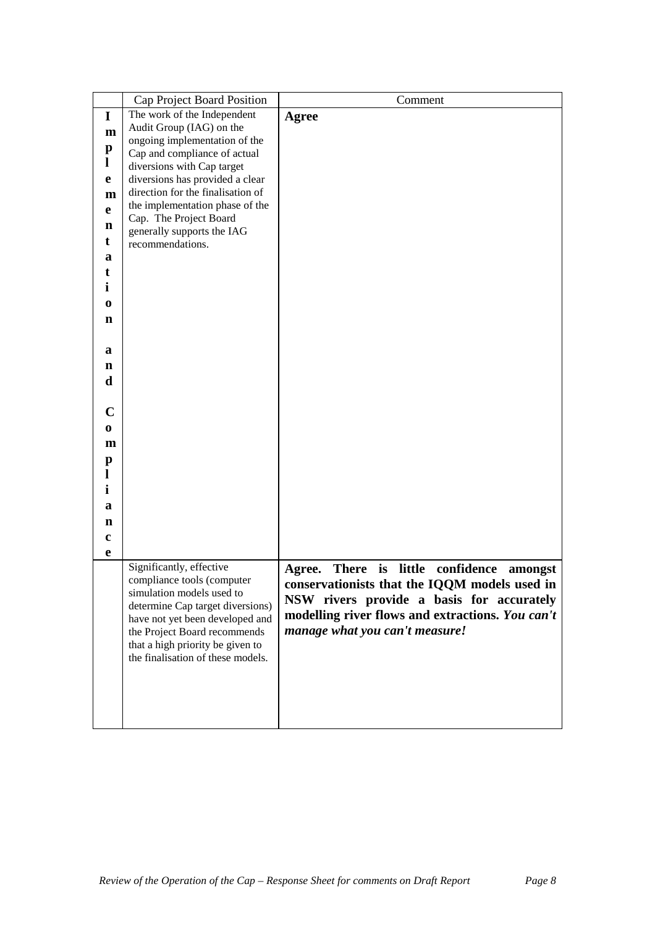|                   | Cap Project Board Position                                           | Comment                                          |
|-------------------|----------------------------------------------------------------------|--------------------------------------------------|
| I                 | The work of the Independent                                          | Agree                                            |
| $\mathbf{m}$      | Audit Group (IAG) on the                                             |                                                  |
|                   | ongoing implementation of the                                        |                                                  |
| $\mathbf{p}$<br>1 | Cap and compliance of actual                                         |                                                  |
|                   | diversions with Cap target                                           |                                                  |
| e                 | diversions has provided a clear<br>direction for the finalisation of |                                                  |
| m                 | the implementation phase of the                                      |                                                  |
| e                 | Cap. The Project Board                                               |                                                  |
| n                 | generally supports the IAG                                           |                                                  |
| t                 | recommendations.                                                     |                                                  |
| a                 |                                                                      |                                                  |
| t                 |                                                                      |                                                  |
| $\mathbf i$       |                                                                      |                                                  |
| $\bf{0}$          |                                                                      |                                                  |
| n                 |                                                                      |                                                  |
|                   |                                                                      |                                                  |
| a                 |                                                                      |                                                  |
|                   |                                                                      |                                                  |
| n<br>$\mathbf d$  |                                                                      |                                                  |
|                   |                                                                      |                                                  |
|                   |                                                                      |                                                  |
| $\mathbf C$       |                                                                      |                                                  |
| $\bf{0}$          |                                                                      |                                                  |
| m                 |                                                                      |                                                  |
| p                 |                                                                      |                                                  |
|                   |                                                                      |                                                  |
| i                 |                                                                      |                                                  |
| a                 |                                                                      |                                                  |
| n                 |                                                                      |                                                  |
| $\mathbf c$       |                                                                      |                                                  |
| e                 |                                                                      |                                                  |
|                   | Significantly, effective                                             | There is little confidence amongst               |
|                   | compliance tools (computer                                           | Agree.                                           |
|                   | simulation models used to                                            | conservationists that the IQQM models used in    |
|                   | determine Cap target diversions)                                     | NSW rivers provide a basis for accurately        |
|                   | have not yet been developed and                                      | modelling river flows and extractions. You can't |
|                   | the Project Board recommends                                         | manage what you can't measure!                   |
|                   | that a high priority be given to                                     |                                                  |
|                   | the finalisation of these models.                                    |                                                  |
|                   |                                                                      |                                                  |
|                   |                                                                      |                                                  |
|                   |                                                                      |                                                  |
|                   |                                                                      |                                                  |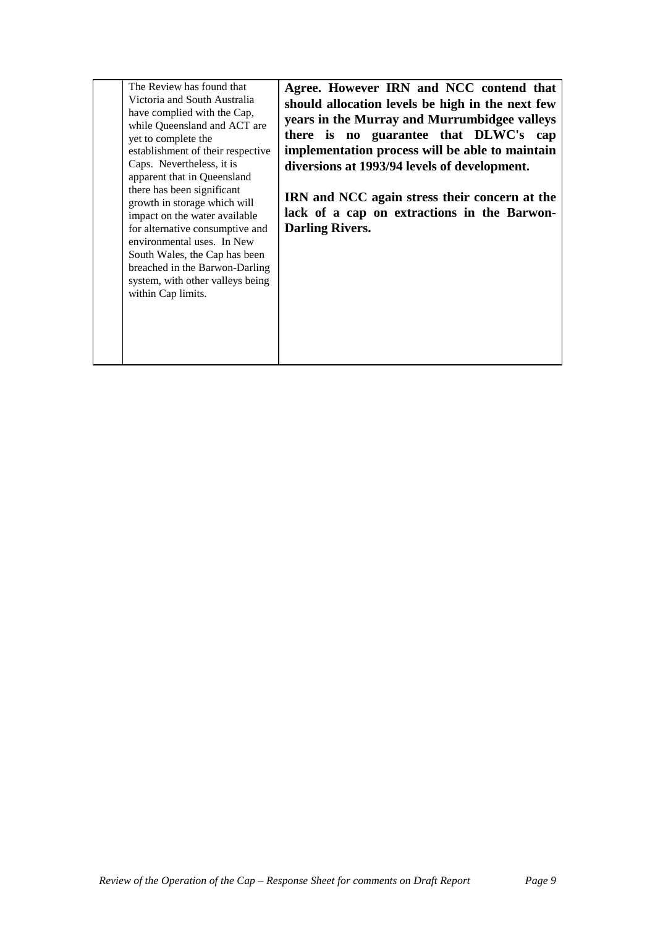| The Review has found that                           | Agree. However IRN and NCC contend that          |
|-----------------------------------------------------|--------------------------------------------------|
| Victoria and South Australia                        | should allocation levels be high in the next few |
| have complied with the Cap,                         | years in the Murray and Murrumbidgee valleys     |
| while Queensland and ACT are<br>yet to complete the | there is no guarantee that DLWC's cap            |
| establishment of their respective                   | implementation process will be able to maintain  |
| Caps. Nevertheless, it is                           | diversions at 1993/94 levels of development.     |
| apparent that in Queensland                         |                                                  |
| there has been significant                          |                                                  |
| growth in storage which will                        | IRN and NCC again stress their concern at the    |
| impact on the water available                       | lack of a cap on extractions in the Barwon-      |
| for alternative consumptive and                     | <b>Darling Rivers.</b>                           |
| environmental uses. In New                          |                                                  |
| South Wales, the Cap has been                       |                                                  |
| breached in the Barwon-Darling                      |                                                  |
| system, with other valleys being                    |                                                  |
| within Cap limits.                                  |                                                  |
|                                                     |                                                  |
|                                                     |                                                  |
|                                                     |                                                  |
|                                                     |                                                  |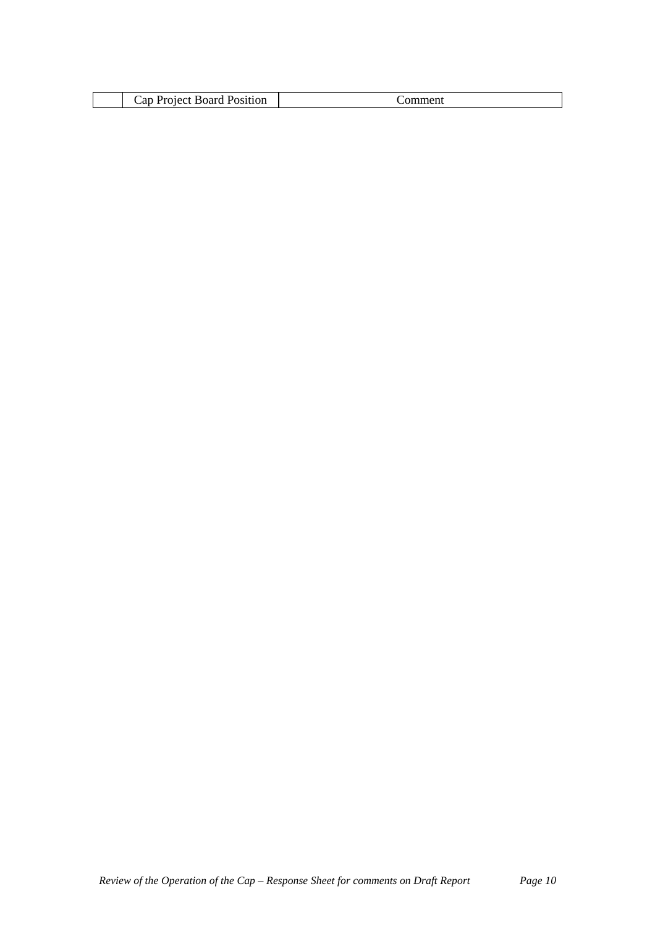| .<br>`an<br>---<br>uuon<br>м |  |
|------------------------------|--|
|------------------------------|--|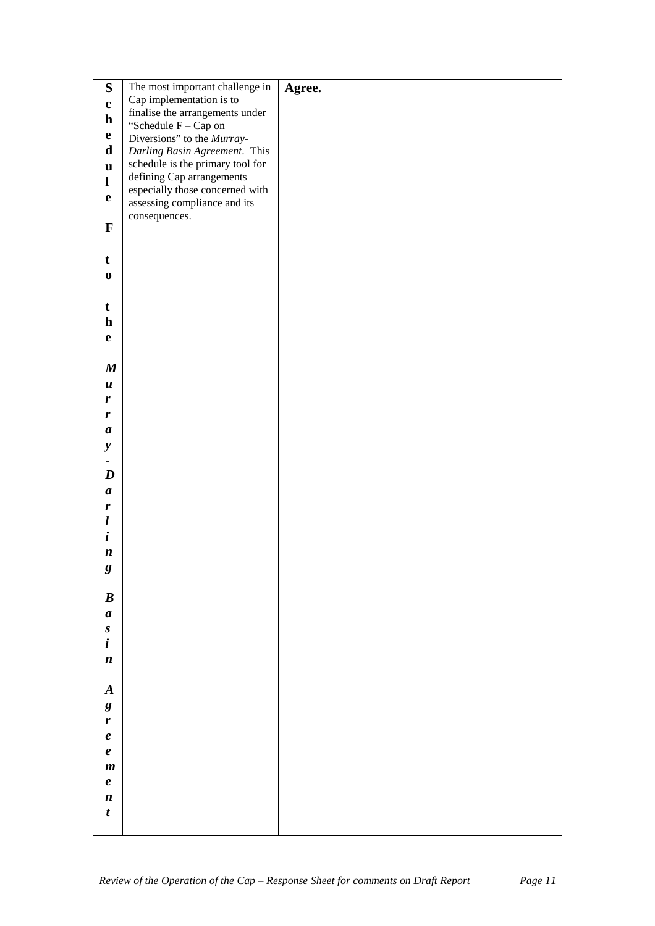| ${\bf S}$           | The most important challenge in                                   | Agree. |
|---------------------|-------------------------------------------------------------------|--------|
| $\mathbf{c}$        | Cap implementation is to                                          |        |
| $\mathbf h$         | finalise the arrangements under                                   |        |
| $\mathbf{e}$        | "Schedule $\mathcal{F}-\mathcal{C}$ ap on                         |        |
| $\mathbf d$         | Diversions" to the Murray-                                        |        |
|                     | Darling Basin Agreement. This<br>schedule is the primary tool for |        |
| $\mathbf u$         | defining Cap arrangements                                         |        |
| $\mathbf{l}$        | especially those concerned with                                   |        |
| $\mathbf e$         | assessing compliance and its                                      |        |
|                     | consequences.                                                     |        |
| $\mathbf{F}$        |                                                                   |        |
|                     |                                                                   |        |
| $\mathbf t$         |                                                                   |        |
| $\boldsymbol{0}$    |                                                                   |        |
|                     |                                                                   |        |
| t                   |                                                                   |        |
| $\mathbf h$         |                                                                   |        |
| $\mathbf e$         |                                                                   |        |
|                     |                                                                   |        |
| $\pmb{M}$           |                                                                   |        |
| $\boldsymbol{u}$    |                                                                   |        |
| r                   |                                                                   |        |
| $\pmb{r}$           |                                                                   |        |
| $\boldsymbol{a}$    |                                                                   |        |
| $\mathbf{y}$        |                                                                   |        |
|                     |                                                                   |        |
| $\boldsymbol{D}$    |                                                                   |        |
| $\boldsymbol{a}$    |                                                                   |        |
| r                   |                                                                   |        |
| $\boldsymbol{l}$    |                                                                   |        |
| $\boldsymbol{i}$    |                                                                   |        |
| $\boldsymbol{n}$    |                                                                   |        |
| $\boldsymbol{g}$    |                                                                   |        |
| o                   |                                                                   |        |
| $\boldsymbol{B}$    |                                                                   |        |
| $\boldsymbol{a}$    |                                                                   |        |
| $\boldsymbol{S}$    |                                                                   |        |
| $\boldsymbol{i}$    |                                                                   |        |
|                     |                                                                   |        |
| $\boldsymbol{n}$    |                                                                   |        |
| $\boldsymbol{A}$    |                                                                   |        |
|                     |                                                                   |        |
| $\pmb{g}$           |                                                                   |        |
| $\boldsymbol{r}$    |                                                                   |        |
| $\pmb{e}$           |                                                                   |        |
| $\boldsymbol{\ell}$ |                                                                   |        |
| $\boldsymbol{m}$    |                                                                   |        |
| $\pmb{e}$           |                                                                   |        |
| $\boldsymbol{n}$    |                                                                   |        |
| $\boldsymbol{t}$    |                                                                   |        |
|                     |                                                                   |        |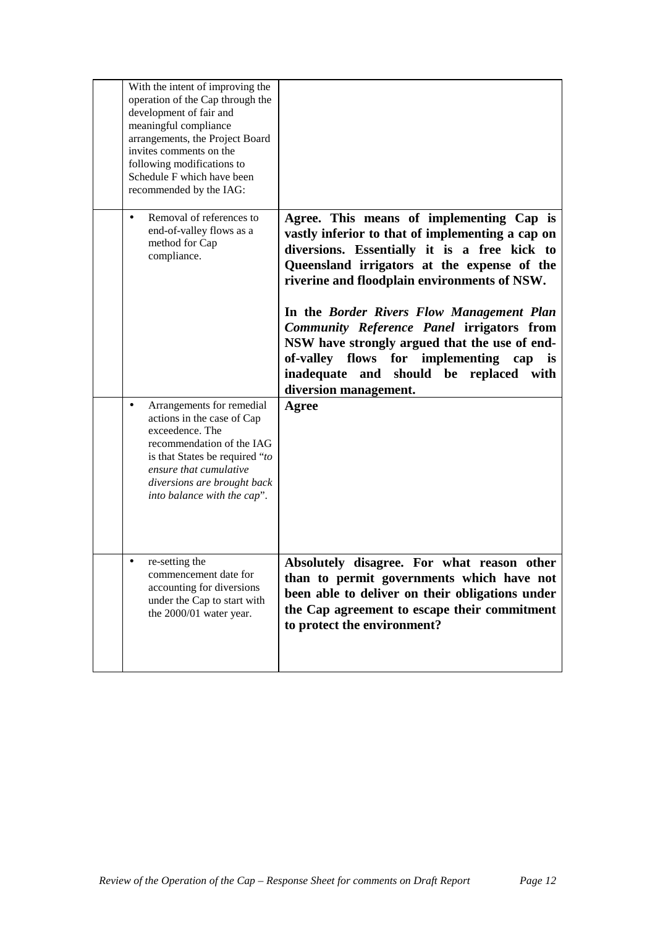| With the intent of improving the<br>operation of the Cap through the<br>development of fair and<br>meaningful compliance<br>arrangements, the Project Board<br>invites comments on the<br>following modifications to<br>Schedule F which have been<br>recommended by the IAG: |                                                                                                                                                                                                                                                                                                                                                                                                                                                                                                               |
|-------------------------------------------------------------------------------------------------------------------------------------------------------------------------------------------------------------------------------------------------------------------------------|---------------------------------------------------------------------------------------------------------------------------------------------------------------------------------------------------------------------------------------------------------------------------------------------------------------------------------------------------------------------------------------------------------------------------------------------------------------------------------------------------------------|
| Removal of references to<br>$\bullet$<br>end-of-valley flows as a<br>method for Cap<br>compliance.                                                                                                                                                                            | Agree. This means of implementing Cap is<br>vastly inferior to that of implementing a cap on<br>diversions. Essentially it is a free kick to<br>Queensland irrigators at the expense of the<br>riverine and floodplain environments of NSW.<br>In the Border Rivers Flow Management Plan<br>Community Reference Panel irrigators from<br>NSW have strongly argued that the use of end-<br>implementing<br>of-valley flows<br>for<br>cap is<br>inadequate and should be replaced with<br>diversion management. |
| Arrangements for remedial<br>٠<br>actions in the case of Cap<br>exceedence. The<br>recommendation of the IAG<br>is that States be required "to<br>ensure that cumulative<br>diversions are brought back<br>into balance with the cap".                                        | Agree                                                                                                                                                                                                                                                                                                                                                                                                                                                                                                         |
| re-setting the<br>commencement date for<br>accounting for diversions<br>under the Cap to start with<br>the 2000/01 water year.                                                                                                                                                | Absolutely disagree. For what reason other<br>than to permit governments which have not<br>been able to deliver on their obligations under<br>the Cap agreement to escape their commitment<br>to protect the environment?                                                                                                                                                                                                                                                                                     |